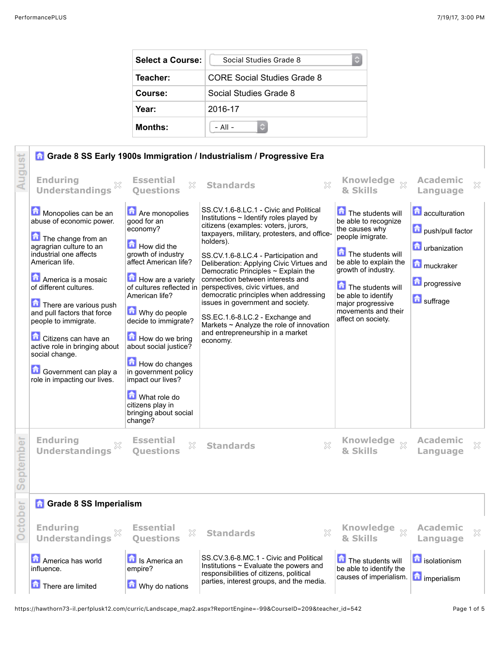| Select a Course: | Social Studies Grade 8      |  |  |
|------------------|-----------------------------|--|--|
| Teacher:         | CORE Social Studies Grade 8 |  |  |
| Course:          | Social Studies Grade 8      |  |  |
| Year:            | 2016-17                     |  |  |
| <b>Months:</b>   | $-$ All $-$                 |  |  |



https://hawthorn73-il.perfplusk12.com/curric/Landscape\_map2.aspx?ReportEngine=-99&CourseID=209&teacher\_id=542 Page 1 of 5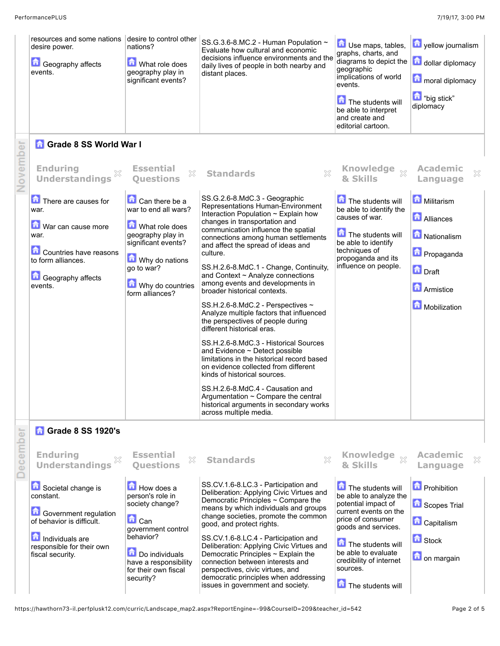|          | resources and some nations<br>desire power.<br><b>C</b> Geography affects<br>events.                                                                                               | desire to control other<br>nations?<br>What role does<br>geography play in<br>significant events?                                                                                                                                | SS.G.3.6-8.MC.2 - Human Population ~<br>Evaluate how cultural and economic<br>decisions influence environments and the<br>daily lives of people in both nearby and<br>distant places.                                                                                                                                                                                                                                                                                                                                                                                                                                                                                                                                                                                                                                                                                                                                                         | Use maps, tables,<br>graphs, charts, and<br>diagrams to depict the<br>geographic<br>implications of world<br>events.<br>The students will<br>be able to interpret<br>and create and<br>editorial cartoon.                                                             | yellow journalism<br>dollar diplomacy<br>moral diplomacy<br>big stick"<br>diplomacy                                        |
|----------|------------------------------------------------------------------------------------------------------------------------------------------------------------------------------------|----------------------------------------------------------------------------------------------------------------------------------------------------------------------------------------------------------------------------------|-----------------------------------------------------------------------------------------------------------------------------------------------------------------------------------------------------------------------------------------------------------------------------------------------------------------------------------------------------------------------------------------------------------------------------------------------------------------------------------------------------------------------------------------------------------------------------------------------------------------------------------------------------------------------------------------------------------------------------------------------------------------------------------------------------------------------------------------------------------------------------------------------------------------------------------------------|-----------------------------------------------------------------------------------------------------------------------------------------------------------------------------------------------------------------------------------------------------------------------|----------------------------------------------------------------------------------------------------------------------------|
|          | <b>G</b> Grade 8 SS World War I                                                                                                                                                    |                                                                                                                                                                                                                                  |                                                                                                                                                                                                                                                                                                                                                                                                                                                                                                                                                                                                                                                                                                                                                                                                                                                                                                                                               |                                                                                                                                                                                                                                                                       |                                                                                                                            |
| November | <b>Enduring</b><br><b>Understandings</b>                                                                                                                                           | <b>Essential</b><br>$\mathbb{X}$<br><b>Ouestions</b>                                                                                                                                                                             | $\boldsymbol{\mathbb{X}}$<br><b>Standards</b>                                                                                                                                                                                                                                                                                                                                                                                                                                                                                                                                                                                                                                                                                                                                                                                                                                                                                                 | Knowledge xx<br>& Skills                                                                                                                                                                                                                                              | <b>Academic</b><br>×<br>Language                                                                                           |
|          | There are causes for<br>war.<br>War can cause more<br>war.<br>Countries have reasons<br>to form alliances.<br><b>Geography affects</b><br>events.                                  | Can there be a<br>war to end all wars?<br>What role does<br>geography play in<br>significant events?<br>Why do nations<br>go to war?<br>Why do countries<br>form alliances?                                                      | SS.G.2.6-8.MdC.3 - Geographic<br>Representations Human-Environment<br>Interaction Population ~ Explain how<br>changes in transportation and<br>communication influence the spatial<br>connections among human settlements<br>and affect the spread of ideas and<br>culture.<br>SS.H.2.6-8.MdC.1 - Change, Continuity,<br>and Context $\sim$ Analyze connections<br>among events and developments in<br>broader historical contexts.<br>SS.H.2.6-8.MdC.2 - Perspectives ~<br>Analyze multiple factors that influenced<br>the perspectives of people during<br>different historical eras.<br>SS.H.2.6-8.MdC.3 - Historical Sources<br>and Evidence $\sim$ Detect possible<br>limitations in the historical record based<br>on evidence collected from different<br>kinds of historical sources.<br>SS.H.2.6-8.MdC.4 - Causation and<br>Argumentation ~ Compare the central<br>historical arguments in secondary works<br>across multiple media. | The students will<br>be able to identify the<br>causes of war.<br>The students will<br>be able to identify<br>techniques of<br>propoganda and its<br>influence on people.                                                                                             | Militarism<br><b>Alliances</b><br>Nationalism<br><b>n</b> Propaganda<br><b>n</b> Draft<br><b>Armistice</b><br>Mobilization |
| ecember  | <b>n</b> Grade 8 SS 1920's<br><b>Enduring</b>                                                                                                                                      | <b>Essential</b>                                                                                                                                                                                                                 |                                                                                                                                                                                                                                                                                                                                                                                                                                                                                                                                                                                                                                                                                                                                                                                                                                                                                                                                               | <b>Knowledge</b>                                                                                                                                                                                                                                                      | <b>Academic</b>                                                                                                            |
|          | <b>Understandings</b><br>Societal change is<br>constant.<br>Government regulation<br>of behavior is difficult.<br>Individuals are<br>responsible for their own<br>fiscal security. | X<br><b>Ouestions</b><br><b>E</b> How does a<br>person's role in<br>society change?<br>$\mathbf{\hat{a}}$ Can<br>government control<br>behavior?<br>Do individuals<br>have a responsibility<br>for their own fiscal<br>security? | <b>Standards</b><br>X<br>SS.CV.1.6-8.LC.3 - Participation and<br>Deliberation: Applying Civic Virtues and<br>Democratic Principles ~ Compare the<br>means by which individuals and groups<br>change societies, promote the common<br>good, and protect rights.<br>SS.CV.1.6-8.LC.4 - Participation and<br>Deliberation: Applying Civic Virtues and<br>Democratic Principles ~ Explain the<br>connection between interests and<br>perspectives, civic virtues, and<br>democratic principles when addressing<br>issues in government and society.                                                                                                                                                                                                                                                                                                                                                                                               | $\chi$<br>& Skills<br>The students will<br>be able to analyze the<br>potential impact of<br>current events on the<br>price of consumer<br>goods and services.<br>The students will<br>be able to evaluate<br>credibility of internet<br>sources.<br>The students will | ×<br>Language<br><b>D</b> Prohibition<br>Scopes Trial<br><b>n</b> Capitalism<br><b>B</b> Stock<br><b>n</b> on margain      |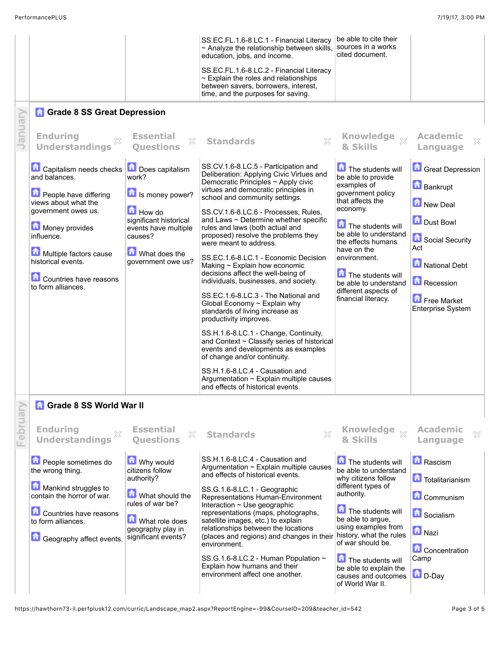|         |                                                                        |                                                                            | SS.EC.FL.1.6-8.LC.1 - Financial Literacy<br>~ Analyze the relationship between skills,<br>education, jobs, and income.                                                                 | be able to cite their<br>sources in a works<br>cited document.            |                                            |
|---------|------------------------------------------------------------------------|----------------------------------------------------------------------------|----------------------------------------------------------------------------------------------------------------------------------------------------------------------------------------|---------------------------------------------------------------------------|--------------------------------------------|
|         |                                                                        |                                                                            | SS.EC.FL.1.6-8.LC.2 - Financial Literacy<br>$\sim$ Explain the roles and relationships<br>between savers, borrowers, interest,<br>time, and the purposes for saving.                   |                                                                           |                                            |
|         | <b>Grade 8 SS Great Depression</b>                                     |                                                                            |                                                                                                                                                                                        |                                                                           |                                            |
| anuary  | <b>Enduring</b><br><b>Understandings</b>                               | <b>Essential</b><br>X<br><b>Ouestions</b>                                  | <b>Standards</b>                                                                                                                                                                       | Knowledge xx<br>& Skills                                                  | <b>Academic</b><br>X<br>Language           |
|         | Capitalism needs checks<br>and balances.                               | <b>Does capitalism</b><br>work?                                            | SS.CV.1.6-8.LC.5 - Participation and<br>Deliberation: Applying Civic Virtues and<br>Democratic Principles ~ Apply civic<br>virtues and democratic principles in                        | The students will<br>be able to provide<br>examples of                    | <b>Great Depression</b><br><b>Bankrupt</b> |
|         | People have differing<br>views about what the                          | Is money power?                                                            | school and community settings.                                                                                                                                                         | government policy<br>that affects the<br>economy.                         | New Deal                                   |
|         | government owes us.<br>Money provides<br>influence.                    | <b>How do</b><br>significant historical<br>events have multiple<br>causes? | SS.CV.1.6-8.LC.6 - Processes, Rules,<br>and Laws $\sim$ Determine whether specific<br>rules and laws (both actual and<br>proposed) resolve the problems they<br>were meant to address. | The students will<br>be able to understand<br>the effects humans          | Dust Bowl<br>Social Security               |
|         | Multiple factors cause<br>historical events.<br>Countries have reasons | What does the<br>government owe us?                                        | SS.EC.1.6-8.LC.1 - Economic Decision<br>Making $\sim$ Explain how economic<br>decisions affect the well-being of<br>individuals, businesses, and society.                              | have on the<br>environment.<br>The students will<br>be able to understand | Act<br>National Debt<br>Recession          |
|         | to form alliances.                                                     |                                                                            | SS.EC.1.6-8.LC.3 - The National and<br>Global Economy $\sim$ Explain why<br>standards of living increase as<br>productivity improves.                                                  | different aspects of<br>financial literacy.                               | Free Market<br><b>Enterprise System</b>    |
|         |                                                                        |                                                                            | SS.H.1.6-8.LC.1 - Change, Continuity,<br>and Context ~ Classify series of historical<br>events and developments as examples<br>of change and/or continuity.                            |                                                                           |                                            |
|         |                                                                        |                                                                            | SS.H.1.6-8.LC.4 - Causation and<br>Argumentation $\sim$ Explain multiple causes<br>and effects of historical events.                                                                   |                                                                           |                                            |
|         | <b>n</b> Grade 8 SS World War II                                       |                                                                            |                                                                                                                                                                                        |                                                                           |                                            |
| Februar | <b>Enduring</b><br><b>Understandings</b>                               | <b>Essential</b><br>53<br><b>Ouestions</b>                                 | <b>Standards</b><br>X                                                                                                                                                                  | Knowledge xx<br>& Skills                                                  | <b>Academic</b><br>X<br>Language           |
|         | People sometimes do<br>the wrong thing.                                | Why would<br>citizens follow<br>authority?                                 | SS.H.1.6-8.LC.4 - Causation and<br>Argumentation ~ Explain multiple causes<br>and effects of historical events.                                                                        | The students will<br>be able to understand<br>why citizens follow         | <b>A</b> Rascism<br>Totalitarianism        |
|         | Mankind struggles to<br>contain the horror of war.                     | What should the<br>rules of war be?                                        | SS.G.1.6-8.LC.1 - Geographic<br>Representations Human-Environment                                                                                                                      | different types of<br>authority.                                          | <b>Communism</b>                           |
|         | Countries have reasons<br>to form alliances.                           | What role does                                                             | Interaction ~ Use geographic<br>representations (maps, photographs,<br>satellite images, etc.) to explain                                                                              | The students will<br>be able to argue,                                    | <b>G</b> Socialism                         |
|         | <b>Geography affect events.</b>                                        | geography play in<br>significant events?                                   | relationships between the locations<br>(places and regions) and changes in their<br>environment.                                                                                       | using examples from<br>history, what the rules<br>of war should be.       | <b>n</b> Nazi                              |
|         |                                                                        |                                                                            | SS.G.1.6-8.LC.2 - Human Population ~<br>Explain how humans and their<br>environment affect one another.                                                                                | The students will<br>be able to explain the<br>causes and outcomes        | <b>Concentration</b><br>Camp<br>D-Day      |
|         |                                                                        |                                                                            |                                                                                                                                                                                        | of World War II.                                                          |                                            |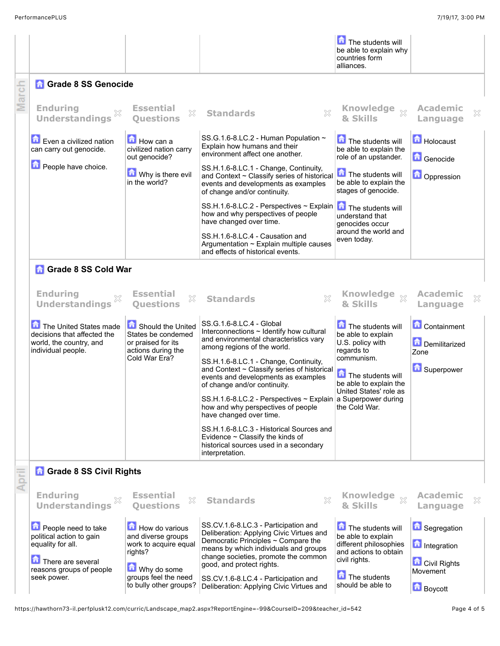|       |                                                                                                        |                                                                                     |                                                                                                                                                                  | The students will<br>be able to explain why<br>countries form<br>alliances.                |                                                   |   |
|-------|--------------------------------------------------------------------------------------------------------|-------------------------------------------------------------------------------------|------------------------------------------------------------------------------------------------------------------------------------------------------------------|--------------------------------------------------------------------------------------------|---------------------------------------------------|---|
|       | <b>Grade 8 SS Genocide</b>                                                                             |                                                                                     |                                                                                                                                                                  |                                                                                            |                                                   |   |
| March | <b>Enduring</b><br><b>Understandings</b>                                                               | <b>Essential</b><br>X<br><b>Ouestions</b>                                           | X<br><b>Standards</b>                                                                                                                                            | Knowledge xx<br>& Skills                                                                   | <b>Academic</b><br>Language                       | × |
|       | Even a civilized nation<br>can carry out genocide.                                                     | How can a<br>civilized nation carry<br>out genocide?                                | SS.G.1.6-8.LC.2 - Human Population ~<br>Explain how humans and their<br>environment affect one another.                                                          | The students will<br>be able to explain the<br>role of an upstander.                       | Holocaust<br>Genocide                             |   |
|       | People have choice.                                                                                    | Why is there evil<br>in the world?                                                  | SS.H.1.6-8.LC.1 - Change, Continuity,<br>and Context ~ Classify series of historical<br>events and developments as examples<br>of change and/or continuity.      | The students will<br>be able to explain the<br>stages of genocide.                         | <b>D</b> Oppression                               |   |
|       |                                                                                                        |                                                                                     | $SS.H.1.6-8.LC.2$ - Perspectives ~ Explain<br>how and why perspectives of people<br>have changed over time.                                                      | The students will<br>understand that<br>genocides occur                                    |                                                   |   |
|       |                                                                                                        |                                                                                     | SS.H.1.6-8.LC.4 - Causation and<br>Argumentation ~ Explain multiple causes<br>and effects of historical events.                                                  | around the world and<br>even today.                                                        |                                                   |   |
|       | <b>n</b> Grade 8 SS Cold War                                                                           |                                                                                     |                                                                                                                                                                  |                                                                                            |                                                   |   |
|       | <b>Enduring</b><br><b>Understandings</b>                                                               | <b>Essential</b><br>X<br><b>Ouestions</b>                                           | <b>Standards</b>                                                                                                                                                 | Knowledge xx<br>& Skills                                                                   | <b>Academic</b><br>Language                       | × |
|       | The United States made<br>decisions that affected the<br>world, the country, and<br>individual people. | Should the United<br>States be condemed<br>or praised for its<br>actions during the | SS.G.1.6-8.LC.4 - Global<br>Interconnections $\sim$ Identify how cultural<br>and environmental characteristics vary<br>among regions of the world.               | The students will<br>be able to explain<br>U.S. policy with<br>regards to                  | <b>Containment</b><br>Demilitarized<br>Zone       |   |
|       |                                                                                                        | Cold War Era?                                                                       | SS.H.1.6-8.LC.1 - Change, Continuity,<br>and Context ~ Classify series of historical<br>events and developments as examples<br>of change and/or continuity.      | communism.<br>$\boxed{\text{A}}$ The students will<br>be able to explain the               | <b>C</b> Superpower                               |   |
|       |                                                                                                        |                                                                                     | SS.H.1.6-8.LC.2 - Perspectives $\sim$ Explain a Superpower during<br>how and why perspectives of people<br>have changed over time.                               | United States' role as<br>the Cold War.                                                    |                                                   |   |
|       |                                                                                                        |                                                                                     | SS.H.1.6-8.LC.3 - Historical Sources and<br>Evidence $\sim$ Classify the kinds of<br>historical sources used in a secondary<br>interpretation.                   |                                                                                            |                                                   |   |
| April | <b>n</b> Grade 8 SS Civil Rights                                                                       |                                                                                     |                                                                                                                                                                  |                                                                                            |                                                   |   |
|       | <b>Enduring</b><br><b>Understandings</b>                                                               | <b>Essential</b><br>X<br><b>Ouestions</b>                                           | <b>Standards</b><br>×                                                                                                                                            | <b>Knowledge</b><br>$\chi$<br>& Skills                                                     | <b>Academic</b><br>Language                       | × |
|       | People need to take<br>political action to gain<br>equality for all.                                   | How do various<br>and diverse groups<br>work to acquire equal                       | SS.CV.1.6-8.LC.3 - Participation and<br>Deliberation: Applying Civic Virtues and<br>Democratic Principles ~ Compare the<br>means by which individuals and groups | The students will<br>be able to explain<br>different philosophies<br>and actions to obtain | <b>B</b> Segregation<br><b>n</b> Integration      |   |
|       | There are several<br>reasons groups of people<br>seek power.                                           | rights?<br>Why do some<br>groups feel the need<br>to bully other groups?            | change societies, promote the common<br>good, and protect rights.<br>SS.CV.1.6-8.LC.4 - Participation and<br>Deliberation: Applying Civic Virtues and            | civil rights.<br>The students<br>should be able to                                         | <b>Civil Rights</b><br>Movement<br><b>Boycott</b> |   |

https://hawthorn73-il.perfplusk12.com/curric/Landscape\_map2.aspx?ReportEngine=-99&CourseID=209&teacher\_id=542 Page 4 of 5